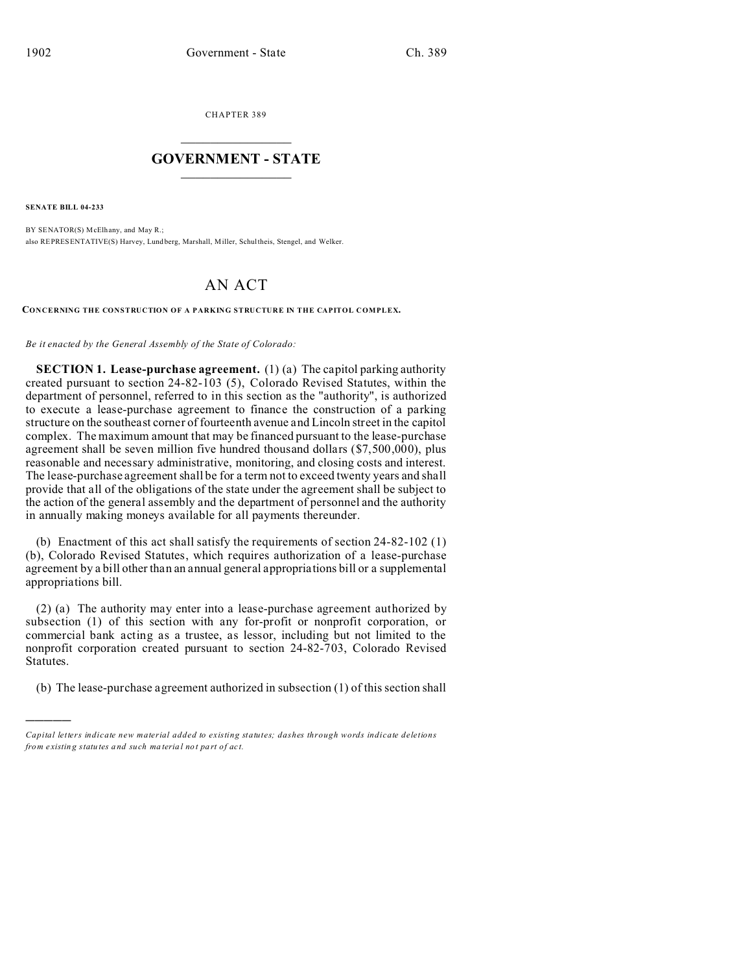CHAPTER 389  $\overline{\phantom{a}}$  , where  $\overline{\phantom{a}}$ 

## **GOVERNMENT - STATE**  $\_$   $\_$   $\_$   $\_$   $\_$   $\_$   $\_$   $\_$   $\_$

**SENATE BILL 04-233**

)))))

BY SENATOR(S) McElhany, and May R.; also REPRESENTATIVE(S) Harvey, Lund berg, Marshall, Miller, Schultheis, Stengel, and Welker.

## AN ACT

**CONCERNING THE CONSTRUCTION OF A PARKING STRUCTURE IN THE CAPITOL COMPLEX.**

*Be it enacted by the General Assembly of the State of Colorado:*

**SECTION 1. Lease-purchase agreement.** (1) (a) The capitol parking authority created pursuant to section 24-82-103 (5), Colorado Revised Statutes, within the department of personnel, referred to in this section as the "authority", is authorized to execute a lease-purchase agreement to finance the construction of a parking structure on the southeast corner of fourteenth avenue and Lincoln street in the capitol complex. The maximum amount that may be financed pursuant to the lease-purchase agreement shall be seven million five hundred thousand dollars (\$7,500,000), plus reasonable and necessary administrative, monitoring, and closing costs and interest. The lease-purchase agreement shall be for a term not to exceed twenty years and shall provide that all of the obligations of the state under the agreement shall be subject to the action of the general assembly and the department of personnel and the authority in annually making moneys available for all payments thereunder.

(b) Enactment of this act shall satisfy the requirements of section 24-82-102 (1) (b), Colorado Revised Statutes, which requires authorization of a lease-purchase agreement by a bill other than an annual general appropriations bill or a supplemental appropriations bill.

(2) (a) The authority may enter into a lease-purchase agreement authorized by subsection (1) of this section with any for-profit or nonprofit corporation, or commercial bank acting as a trustee, as lessor, including but not limited to the nonprofit corporation created pursuant to section 24-82-703, Colorado Revised Statutes.

(b) The lease-purchase agreement authorized in subsection (1) of this section shall

*Capital letters indicate new material added to existing statutes; dashes through words indicate deletions from e xistin g statu tes a nd such ma teria l no t pa rt of ac t.*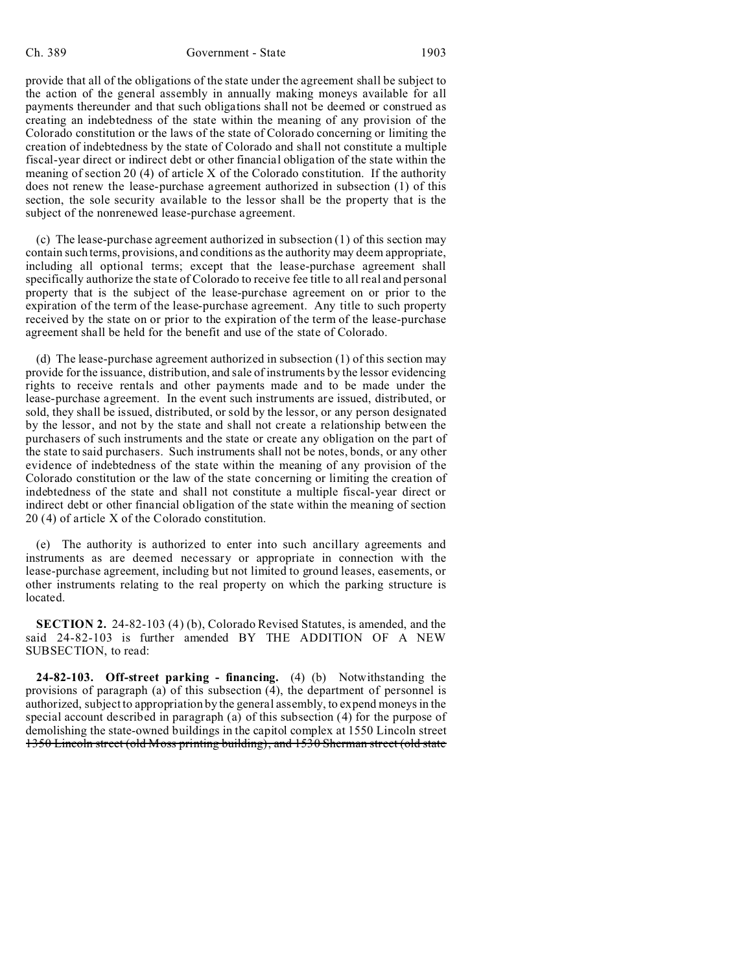provide that all of the obligations of the state under the agreement shall be subject to the action of the general assembly in annually making moneys available for all payments thereunder and that such obligations shall not be deemed or construed as creating an indebtedness of the state within the meaning of any provision of the Colorado constitution or the laws of the state of Colorado concerning or limiting the creation of indebtedness by the state of Colorado and shall not constitute a multiple fiscal-year direct or indirect debt or other financial obligation of the state within the meaning of section 20 (4) of article X of the Colorado constitution. If the authority does not renew the lease-purchase agreement authorized in subsection (1) of this section, the sole security available to the lessor shall be the property that is the subject of the nonrenewed lease-purchase agreement.

(c) The lease-purchase agreement authorized in subsection (1) of this section may contain such terms, provisions, and conditions as the authority may deem appropriate, including all optional terms; except that the lease-purchase agreement shall specifically authorize the state of Colorado to receive fee title to all real and personal property that is the subject of the lease-purchase agreement on or prior to the expiration of the term of the lease-purchase agreement. Any title to such property received by the state on or prior to the expiration of the term of the lease-purchase agreement shall be held for the benefit and use of the state of Colorado.

(d) The lease-purchase agreement authorized in subsection (1) of this section may provide for the issuance, distribution, and sale of instruments by the lessor evidencing rights to receive rentals and other payments made and to be made under the lease-purchase agreement. In the event such instruments are issued, distributed, or sold, they shall be issued, distributed, or sold by the lessor, or any person designated by the lessor, and not by the state and shall not create a relationship between the purchasers of such instruments and the state or create any obligation on the part of the state to said purchasers. Such instruments shall not be notes, bonds, or any other evidence of indebtedness of the state within the meaning of any provision of the Colorado constitution or the law of the state concerning or limiting the creation of indebtedness of the state and shall not constitute a multiple fiscal-year direct or indirect debt or other financial obligation of the state within the meaning of section 20 (4) of article X of the Colorado constitution.

(e) The authority is authorized to enter into such ancillary agreements and instruments as are deemed necessary or appropriate in connection with the lease-purchase agreement, including but not limited to ground leases, easements, or other instruments relating to the real property on which the parking structure is located.

**SECTION 2.** 24-82-103 (4) (b), Colorado Revised Statutes, is amended, and the said 24-82-103 is further amended BY THE ADDITION OF A NEW SUBSECTION, to read:

**24-82-103. Off-street parking - financing.** (4) (b) Notwithstanding the provisions of paragraph (a) of this subsection (4), the department of personnel is authorized, subject to appropriation by the general assembly, to expend moneys in the special account described in paragraph (a) of this subsection (4) for the purpose of demolishing the state-owned buildings in the capitol complex at 1550 Lincoln street 1350 Lincoln street (old Moss printing building), and 1530 Sherman street (old state